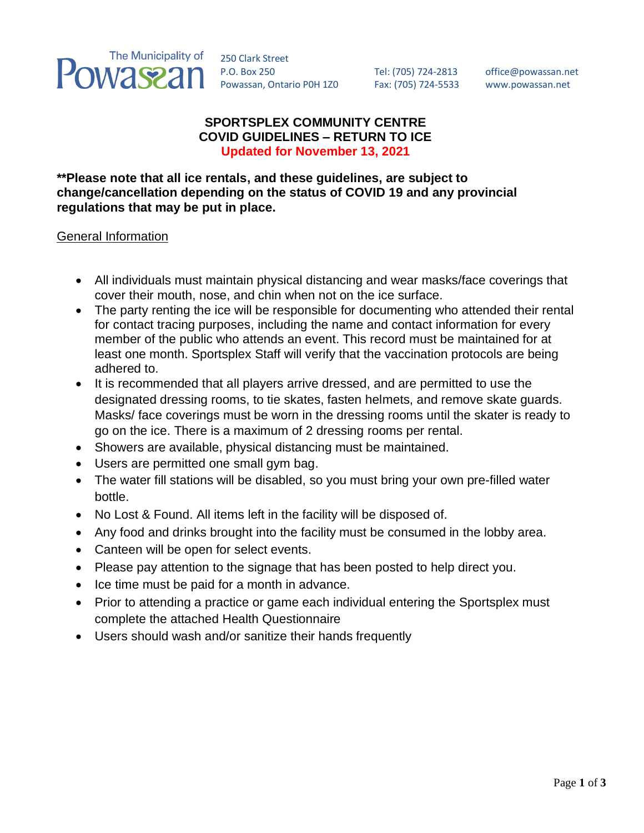

250 Clark Street P.O. Box 250 Tel: (705) 724-2813 office@powassan.net Powassan, Ontario P0H 1Z0 Fax: (705) 724-5533 [www.powassan.net](http://www.powassan.net/)

## **SPORTSPLEX COMMUNITY CENTRE COVID GUIDELINES – RETURN TO ICE Updated for November 13, 2021**

**\*\*Please note that all ice rentals, and these guidelines, are subject to change/cancellation depending on the status of COVID 19 and any provincial regulations that may be put in place.**

General Information

- All individuals must maintain physical distancing and wear masks/face coverings that cover their mouth, nose, and chin when not on the ice surface.
- The party renting the ice will be responsible for documenting who attended their rental for contact tracing purposes, including the name and contact information for every member of the public who attends an event. This record must be maintained for at least one month. Sportsplex Staff will verify that the vaccination protocols are being adhered to.
- It is recommended that all players arrive dressed, and are permitted to use the designated dressing rooms, to tie skates, fasten helmets, and remove skate guards. Masks/ face coverings must be worn in the dressing rooms until the skater is ready to go on the ice. There is a maximum of 2 dressing rooms per rental.
- Showers are available, physical distancing must be maintained.
- Users are permitted one small gym bag.
- The water fill stations will be disabled, so you must bring your own pre-filled water bottle.
- No Lost & Found. All items left in the facility will be disposed of.
- Any food and drinks brought into the facility must be consumed in the lobby area.
- Canteen will be open for select events.
- Please pay attention to the signage that has been posted to help direct you.
- Ice time must be paid for a month in advance.
- Prior to attending a practice or game each individual entering the Sportsplex must complete the attached Health Questionnaire
- Users should wash and/or sanitize their hands frequently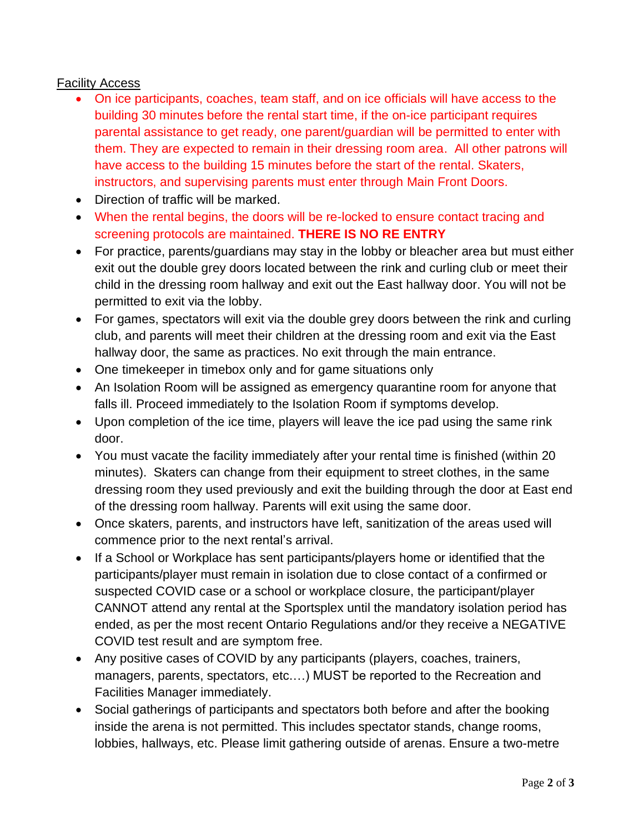## Facility Access

- On ice participants, coaches, team staff, and on ice officials will have access to the building 30 minutes before the rental start time, if the on-ice participant requires parental assistance to get ready, one parent/guardian will be permitted to enter with them. They are expected to remain in their dressing room area. All other patrons will have access to the building 15 minutes before the start of the rental. Skaters, instructors, and supervising parents must enter through Main Front Doors.
- Direction of traffic will be marked.
- When the rental begins, the doors will be re-locked to ensure contact tracing and screening protocols are maintained. **THERE IS NO RE ENTRY**
- For practice, parents/guardians may stay in the lobby or bleacher area but must either exit out the double grey doors located between the rink and curling club or meet their child in the dressing room hallway and exit out the East hallway door. You will not be permitted to exit via the lobby.
- For games, spectators will exit via the double grey doors between the rink and curling club, and parents will meet their children at the dressing room and exit via the East hallway door, the same as practices. No exit through the main entrance.
- One timekeeper in timebox only and for game situations only
- An Isolation Room will be assigned as emergency quarantine room for anyone that falls ill. Proceed immediately to the Isolation Room if symptoms develop.
- Upon completion of the ice time, players will leave the ice pad using the same rink door.
- You must vacate the facility immediately after your rental time is finished (within 20 minutes). Skaters can change from their equipment to street clothes, in the same dressing room they used previously and exit the building through the door at East end of the dressing room hallway. Parents will exit using the same door.
- Once skaters, parents, and instructors have left, sanitization of the areas used will commence prior to the next rental's arrival.
- If a School or Workplace has sent participants/players home or identified that the participants/player must remain in isolation due to close contact of a confirmed or suspected COVID case or a school or workplace closure, the participant/player CANNOT attend any rental at the Sportsplex until the mandatory isolation period has ended, as per the most recent Ontario Regulations and/or they receive a NEGATIVE COVID test result and are symptom free.
- Any positive cases of COVID by any participants (players, coaches, trainers, managers, parents, spectators, etc.…) MUST be reported to the Recreation and Facilities Manager immediately.
- Social gatherings of participants and spectators both before and after the booking inside the arena is not permitted. This includes spectator stands, change rooms, lobbies, hallways, etc. Please limit gathering outside of arenas. Ensure a two-metre